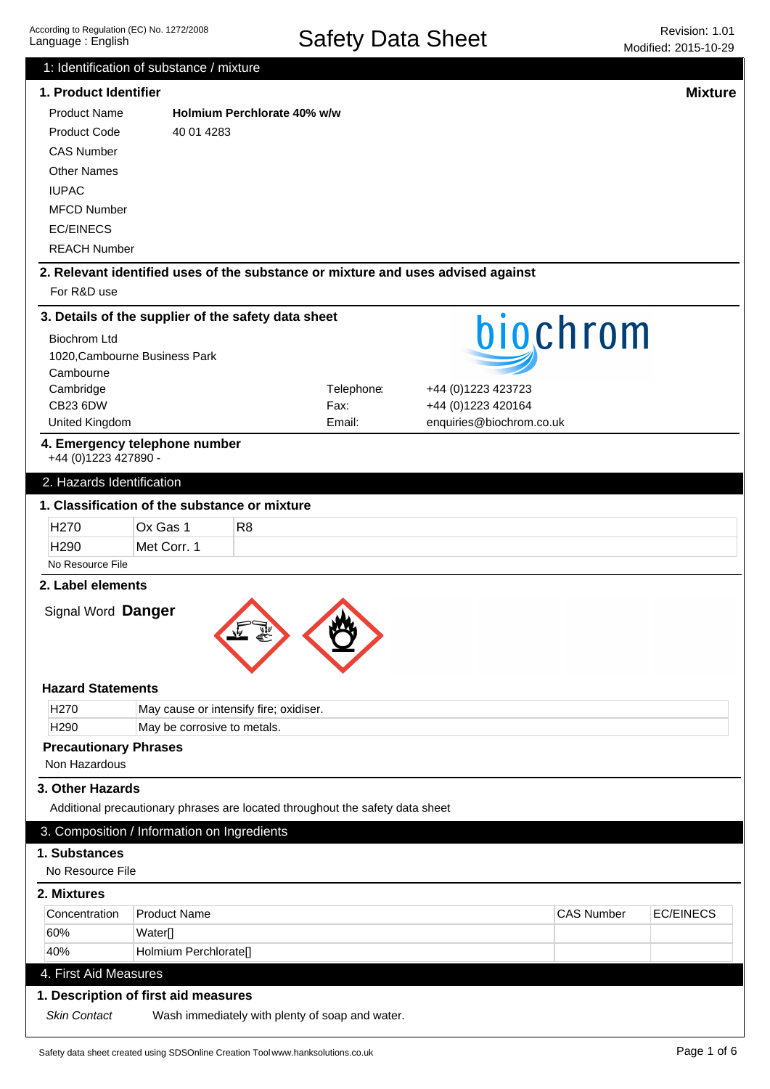|                                                                               | 1: Identification of substance / mixture            |                                                 |            |                                                                                  |                   |                  |
|-------------------------------------------------------------------------------|-----------------------------------------------------|-------------------------------------------------|------------|----------------------------------------------------------------------------------|-------------------|------------------|
| 1. Product Identifier                                                         |                                                     |                                                 |            |                                                                                  |                   | <b>Mixture</b>   |
| <b>Product Name</b>                                                           |                                                     | Holmium Perchlorate 40% w/w                     |            |                                                                                  |                   |                  |
| <b>Product Code</b>                                                           | 40 01 4283                                          |                                                 |            |                                                                                  |                   |                  |
| <b>CAS Number</b>                                                             |                                                     |                                                 |            |                                                                                  |                   |                  |
| <b>Other Names</b>                                                            |                                                     |                                                 |            |                                                                                  |                   |                  |
| <b>IUPAC</b>                                                                  |                                                     |                                                 |            |                                                                                  |                   |                  |
| <b>MFCD Number</b>                                                            |                                                     |                                                 |            |                                                                                  |                   |                  |
| <b>EC/EINECS</b>                                                              |                                                     |                                                 |            |                                                                                  |                   |                  |
| <b>REACH Number</b>                                                           |                                                     |                                                 |            |                                                                                  |                   |                  |
|                                                                               |                                                     |                                                 |            | 2. Relevant identified uses of the substance or mixture and uses advised against |                   |                  |
| For R&D use                                                                   |                                                     |                                                 |            |                                                                                  |                   |                  |
|                                                                               | 3. Details of the supplier of the safety data sheet |                                                 |            |                                                                                  |                   |                  |
| <b>Biochrom Ltd</b>                                                           |                                                     |                                                 |            |                                                                                  | biochrom          |                  |
|                                                                               | 1020, Cambourne Business Park                       |                                                 |            |                                                                                  |                   |                  |
| Cambourne                                                                     |                                                     |                                                 |            |                                                                                  |                   |                  |
| Cambridge                                                                     |                                                     |                                                 | Telephone: | +44 (0)1223 423723                                                               |                   |                  |
| CB23 6DW                                                                      |                                                     |                                                 | Fax:       | +44 (0)1223 420164                                                               |                   |                  |
| United Kingdom                                                                |                                                     |                                                 | Email:     | enquiries@biochrom.co.uk                                                         |                   |                  |
| +44 (0) 1223 427890 -                                                         | 4. Emergency telephone number                       |                                                 |            |                                                                                  |                   |                  |
| 2. Hazards Identification                                                     |                                                     |                                                 |            |                                                                                  |                   |                  |
|                                                                               | 1. Classification of the substance or mixture       |                                                 |            |                                                                                  |                   |                  |
| H <sub>270</sub>                                                              | Ox Gas 1                                            | R <sub>8</sub>                                  |            |                                                                                  |                   |                  |
| H <sub>290</sub>                                                              | Met Corr. 1                                         |                                                 |            |                                                                                  |                   |                  |
| No Resource File                                                              |                                                     |                                                 |            |                                                                                  |                   |                  |
| 2. Label elements                                                             |                                                     |                                                 |            |                                                                                  |                   |                  |
| Signal Word Danger                                                            |                                                     |                                                 |            |                                                                                  |                   |                  |
|                                                                               |                                                     |                                                 |            |                                                                                  |                   |                  |
| <b>Hazard Statements</b>                                                      |                                                     |                                                 |            |                                                                                  |                   |                  |
| H <sub>270</sub>                                                              |                                                     | May cause or intensify fire; oxidiser.          |            |                                                                                  |                   |                  |
| H <sub>290</sub>                                                              | May be corrosive to metals.                         |                                                 |            |                                                                                  |                   |                  |
| <b>Precautionary Phrases</b>                                                  |                                                     |                                                 |            |                                                                                  |                   |                  |
| Non Hazardous                                                                 |                                                     |                                                 |            |                                                                                  |                   |                  |
| 3. Other Hazards                                                              |                                                     |                                                 |            |                                                                                  |                   |                  |
| Additional precautionary phrases are located throughout the safety data sheet |                                                     |                                                 |            |                                                                                  |                   |                  |
|                                                                               | 3. Composition / Information on Ingredients         |                                                 |            |                                                                                  |                   |                  |
| 1. Substances                                                                 |                                                     |                                                 |            |                                                                                  |                   |                  |
| No Resource File                                                              |                                                     |                                                 |            |                                                                                  |                   |                  |
| 2. Mixtures                                                                   |                                                     |                                                 |            |                                                                                  |                   |                  |
| Concentration                                                                 | <b>Product Name</b>                                 |                                                 |            |                                                                                  | <b>CAS Number</b> | <b>EC/EINECS</b> |
| 60%                                                                           | Water[]                                             |                                                 |            |                                                                                  |                   |                  |
| 40%                                                                           | Holmium Perchlorate[]                               |                                                 |            |                                                                                  |                   |                  |
| 4. First Aid Measures                                                         |                                                     |                                                 |            |                                                                                  |                   |                  |
|                                                                               |                                                     |                                                 |            |                                                                                  |                   |                  |
| 1. Description of first aid measures                                          |                                                     |                                                 |            |                                                                                  |                   |                  |
| <b>Skin Contact</b>                                                           |                                                     | Wash immediately with plenty of soap and water. |            |                                                                                  |                   |                  |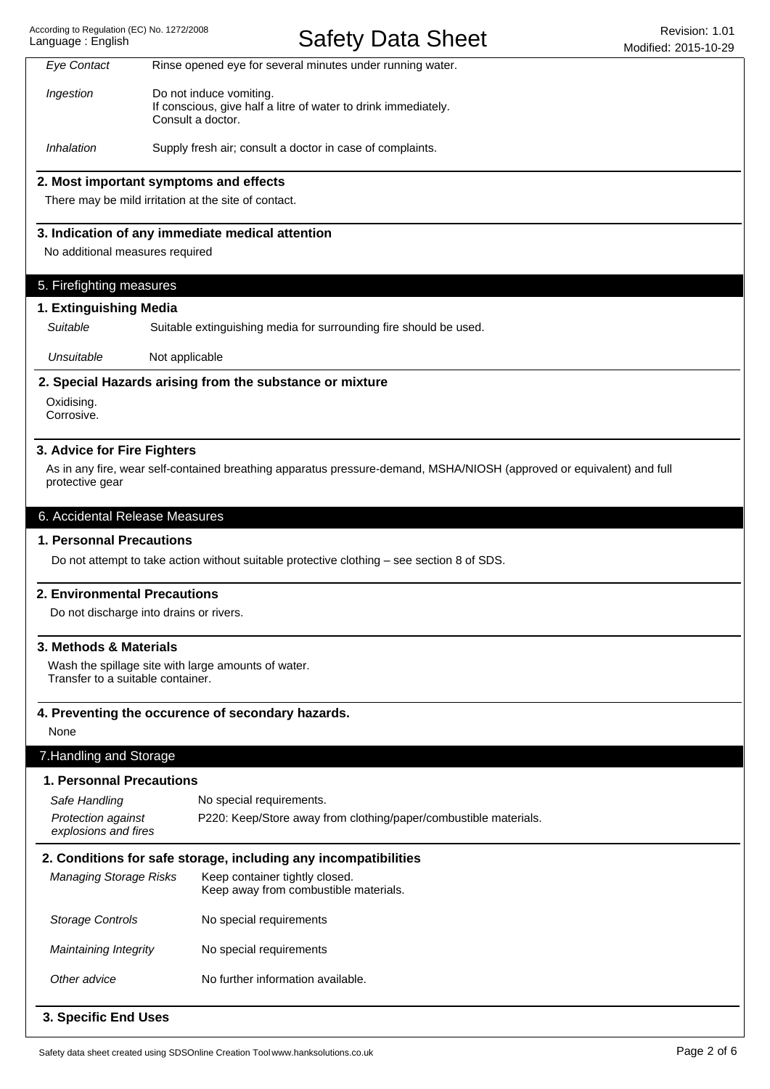# Safety Data Sheet Revision: 1.01

|                                                             | $\sim$ $\sim$ $\sim$ $\sim$ $\sim$ $\sim$ $\sim$ $\sim$                                                               | Modified: 2015-10-29 |
|-------------------------------------------------------------|-----------------------------------------------------------------------------------------------------------------------|----------------------|
| <b>Eye Contact</b>                                          | Rinse opened eye for several minutes under running water.                                                             |                      |
| Ingestion                                                   | Do not induce vomiting.<br>If conscious, give half a litre of water to drink immediately.<br>Consult a doctor.        |                      |
| Inhalation                                                  | Supply fresh air; consult a doctor in case of complaints.                                                             |                      |
|                                                             | 2. Most important symptoms and effects                                                                                |                      |
|                                                             | There may be mild irritation at the site of contact.                                                                  |                      |
|                                                             | 3. Indication of any immediate medical attention                                                                      |                      |
| No additional measures required                             |                                                                                                                       |                      |
| 5. Firefighting measures                                    |                                                                                                                       |                      |
| 1. Extinguishing Media                                      |                                                                                                                       |                      |
| Suitable                                                    | Suitable extinguishing media for surrounding fire should be used.                                                     |                      |
| Unsuitable                                                  | Not applicable                                                                                                        |                      |
|                                                             | 2. Special Hazards arising from the substance or mixture                                                              |                      |
| Oxidising.<br>Corrosive.                                    |                                                                                                                       |                      |
| 3. Advice for Fire Fighters<br>protective gear              | As in any fire, wear self-contained breathing apparatus pressure-demand, MSHA/NIOSH (approved or equivalent) and full |                      |
| 6. Accidental Release Measures                              |                                                                                                                       |                      |
| 1. Personnal Precautions                                    |                                                                                                                       |                      |
|                                                             | Do not attempt to take action without suitable protective clothing - see section 8 of SDS.                            |                      |
| 2. Environmental Precautions                                |                                                                                                                       |                      |
|                                                             | Do not discharge into drains or rivers.                                                                               |                      |
| 3. Methods & Materials<br>Transfer to a suitable container. | Wash the spillage site with large amounts of water.                                                                   |                      |
|                                                             | 4. Preventing the occurence of secondary hazards.                                                                     |                      |
| None                                                        |                                                                                                                       |                      |
| 7. Handling and Storage                                     |                                                                                                                       |                      |
| <b>1. Personnal Precautions</b>                             |                                                                                                                       |                      |
| Safe Handling                                               | No special requirements.                                                                                              |                      |
| Protection against<br>explosions and fires                  | P220: Keep/Store away from clothing/paper/combustible materials.                                                      |                      |
|                                                             | 2. Conditions for safe storage, including any incompatibilities                                                       |                      |
| <b>Managing Storage Risks</b>                               | Keep container tightly closed.<br>Keep away from combustible materials.                                               |                      |
| <b>Storage Controls</b>                                     | No special requirements                                                                                               |                      |
| <b>Maintaining Integrity</b>                                | No special requirements                                                                                               |                      |
| Other advice                                                | No further information available.                                                                                     |                      |
| 3. Specific End Uses                                        |                                                                                                                       |                      |
|                                                             | Safety data sheet created using SDSOnline Creation Tool www.hanksolutions.co.uk                                       | Page 2 of 6          |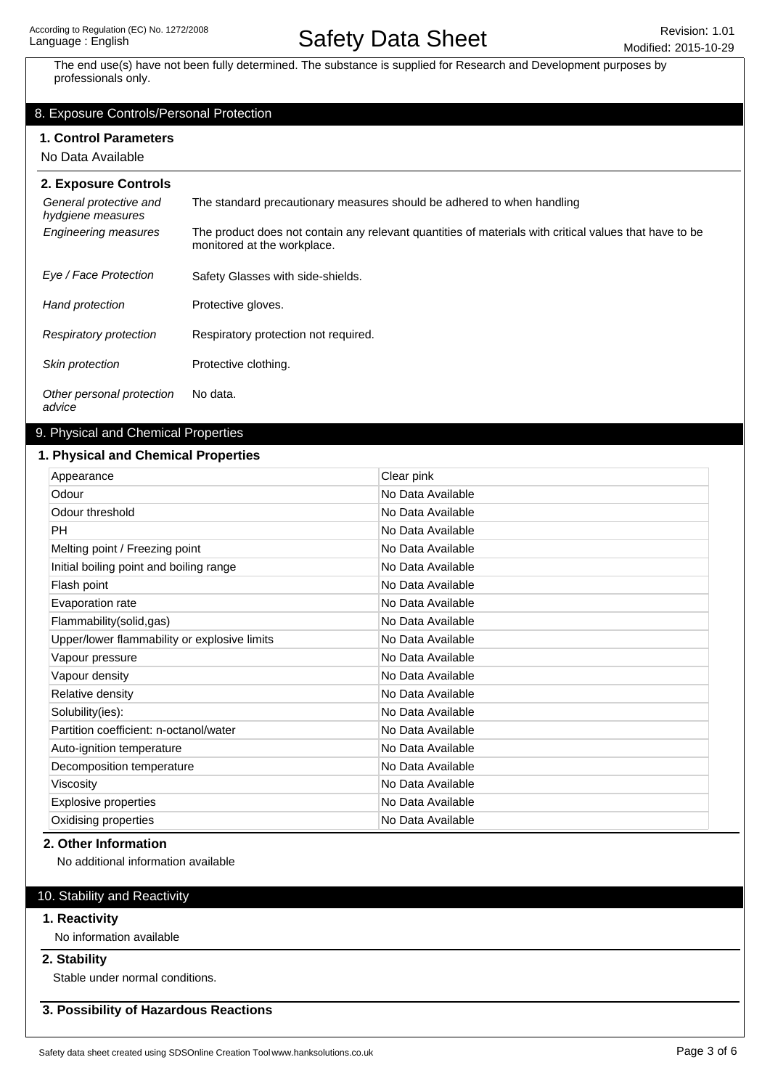# Safety Data Sheet Revision: 1.01

The end use(s) have not been fully determined. The substance is supplied for Research and Development purposes by professionals only.

# 8. Exposure Controls/Personal Protection

### **1. Control Parameters**

No Data Available

| 2. Exposure Controls                        |                                                                                                                                       |
|---------------------------------------------|---------------------------------------------------------------------------------------------------------------------------------------|
| General protective and<br>hydgiene measures | The standard precautionary measures should be adhered to when handling                                                                |
| <b>Engineering measures</b>                 | The product does not contain any relevant quantities of materials with critical values that have to be<br>monitored at the workplace. |
| Eye / Face Protection                       | Safety Glasses with side-shields.                                                                                                     |
| Hand protection                             | Protective gloves.                                                                                                                    |
| Respiratory protection                      | Respiratory protection not required.                                                                                                  |
| Skin protection                             | Protective clothing.                                                                                                                  |
| Other personal protection<br>advice         | No data.                                                                                                                              |

# 9. Physical and Chemical Properties

## **1. Physical and Chemical Properties**

| Appearance                                   | Clear pink        |
|----------------------------------------------|-------------------|
| Odour                                        | No Data Available |
| Odour threshold                              | No Data Available |
| <b>PH</b>                                    | No Data Available |
| Melting point / Freezing point               | No Data Available |
| Initial boiling point and boiling range      | No Data Available |
| Flash point                                  | No Data Available |
| Evaporation rate                             | No Data Available |
| Flammability(solid,gas)                      | No Data Available |
| Upper/lower flammability or explosive limits | No Data Available |
| Vapour pressure                              | No Data Available |
| Vapour density                               | No Data Available |
| Relative density                             | No Data Available |
| Solubility(ies):                             | No Data Available |
| Partition coefficient: n-octanol/water       | No Data Available |
| Auto-ignition temperature                    | No Data Available |
| Decomposition temperature                    | No Data Available |
| Viscosity                                    | No Data Available |
| Explosive properties                         | No Data Available |
| Oxidising properties                         | No Data Available |

## **2. Other Information**

No additional information available

# 10. Stability and Reactivity

## **1. Reactivity**

No information available

## **2. Stability**

Stable under normal conditions.

**3. Possibility of Hazardous Reactions**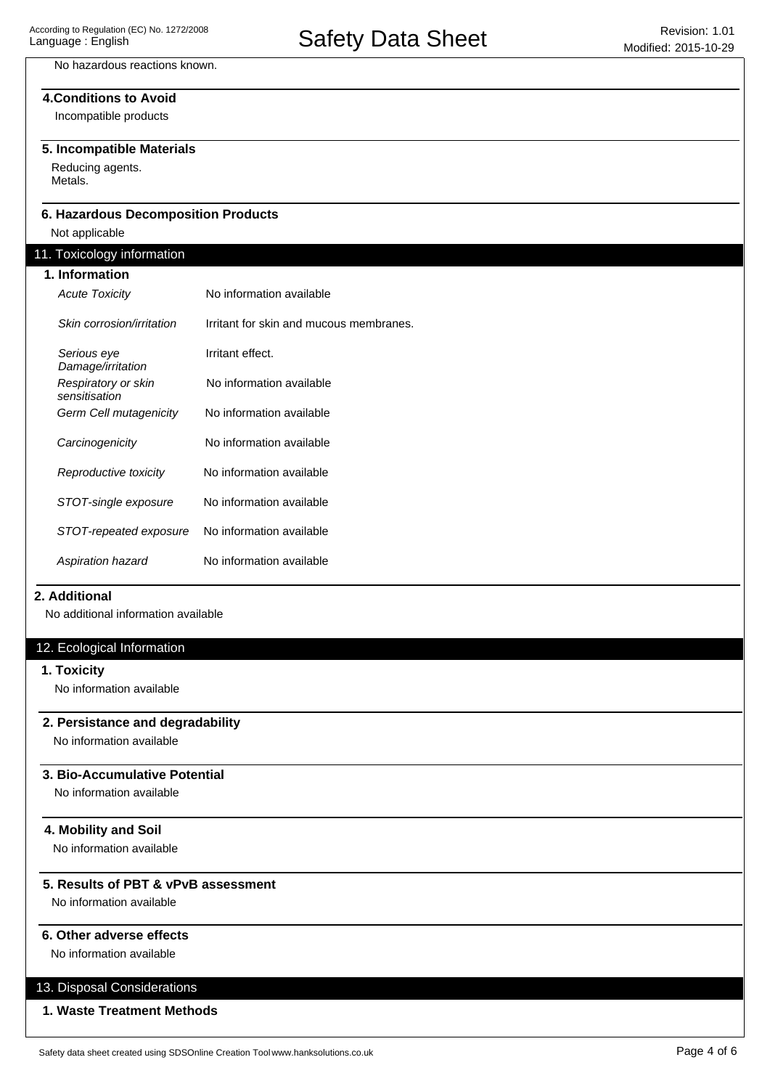# No hazardous reactions known.

# **4.Conditions to Avoid**

Incompatible products

## **5. Incompatible Materials**

Reducing agents. Metals.

## **6. Hazardous Decomposition Products**

Not applicable

# 11. Toxicology information

| ອາ                                   |                                         |
|--------------------------------------|-----------------------------------------|
| 1. Information                       |                                         |
| <b>Acute Toxicity</b>                | No information available                |
| Skin corrosion/irritation            | Irritant for skin and mucous membranes. |
| Serious eye<br>Damage/irritation     | Irritant effect.                        |
| Respiratory or skin<br>sensitisation | No information available                |
| Germ Cell mutagenicity               | No information available                |
| Carcinogenicity                      | No information available                |
| Reproductive toxicity                | No information available                |
| STOT-single exposure                 | No information available                |
| STOT-repeated exposure               | No information available                |
| Aspiration hazard                    | No information available                |

### **2. Additional**

No additional information available

## 12. Ecological Information

## **1. Toxicity**

No information available

## **2. Persistance and degradability**

No information available

# **3. Bio-Accumulative Potential**

No information available

# **4. Mobility and Soil**

No information available

## **5. Results of PBT & vPvB assessment**

No information available

## **6. Other adverse effects**

No information available

# 13. Disposal Considerations

# **1. Waste Treatment Methods**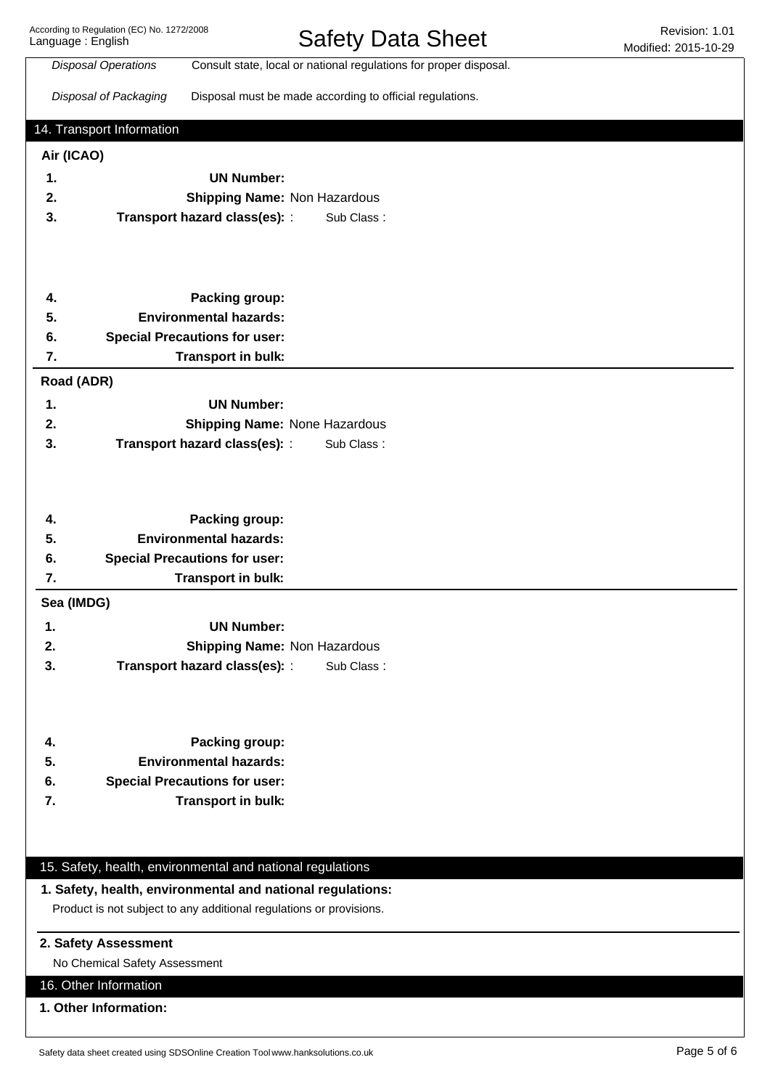According to Regulation (EC) No. 1272/2008 Language : English

Safety Data Sheet Revision: 1.01

|            | <b>Disposal Operations</b>    | Consult state, local or national regulations for proper disposal.   |  |
|------------|-------------------------------|---------------------------------------------------------------------|--|
|            |                               |                                                                     |  |
|            | Disposal of Packaging         | Disposal must be made according to official regulations.            |  |
|            |                               |                                                                     |  |
|            | 14. Transport Information     |                                                                     |  |
| Air (ICAO) |                               |                                                                     |  |
| 1.         |                               | <b>UN Number:</b>                                                   |  |
| 2.         |                               | <b>Shipping Name: Non Hazardous</b>                                 |  |
| 3.         |                               | Transport hazard class(es): :<br>Sub Class:                         |  |
|            |                               |                                                                     |  |
|            |                               |                                                                     |  |
|            |                               |                                                                     |  |
|            |                               | Packing group:                                                      |  |
| 4.<br>5.   |                               | <b>Environmental hazards:</b>                                       |  |
|            |                               |                                                                     |  |
| 6.         |                               | <b>Special Precautions for user:</b>                                |  |
| 7.         |                               | Transport in bulk:                                                  |  |
|            | Road (ADR)                    |                                                                     |  |
| 1.         |                               | <b>UN Number:</b>                                                   |  |
| 2.         |                               | Shipping Name: None Hazardous                                       |  |
| 3.         |                               | Transport hazard class(es): :<br>Sub Class:                         |  |
|            |                               |                                                                     |  |
|            |                               |                                                                     |  |
|            |                               |                                                                     |  |
| 4.         |                               | Packing group:                                                      |  |
| 5.         |                               | <b>Environmental hazards:</b>                                       |  |
| 6.         |                               | <b>Special Precautions for user:</b>                                |  |
| 7.         |                               | Transport in bulk:                                                  |  |
| Sea (IMDG) |                               |                                                                     |  |
|            |                               |                                                                     |  |
| 1.         |                               | <b>UN Number:</b>                                                   |  |
| 2.         |                               | <b>Shipping Name: Non Hazardous</b>                                 |  |
| 3.         |                               | Transport hazard class(es): :<br>Sub Class:                         |  |
|            |                               |                                                                     |  |
|            |                               |                                                                     |  |
|            |                               |                                                                     |  |
| 4.         |                               | Packing group:                                                      |  |
| 5.         |                               | <b>Environmental hazards:</b>                                       |  |
| 6.         |                               | <b>Special Precautions for user:</b>                                |  |
| 7.         |                               | Transport in bulk:                                                  |  |
|            |                               |                                                                     |  |
|            |                               |                                                                     |  |
|            |                               | 15. Safety, health, environmental and national regulations          |  |
|            |                               | 1. Safety, health, environmental and national regulations:          |  |
|            |                               |                                                                     |  |
|            |                               | Product is not subject to any additional regulations or provisions. |  |
|            | 2. Safety Assessment          |                                                                     |  |
|            | No Chemical Safety Assessment |                                                                     |  |
|            |                               |                                                                     |  |
|            | 16. Other Information         |                                                                     |  |
|            | 1. Other Information:         |                                                                     |  |